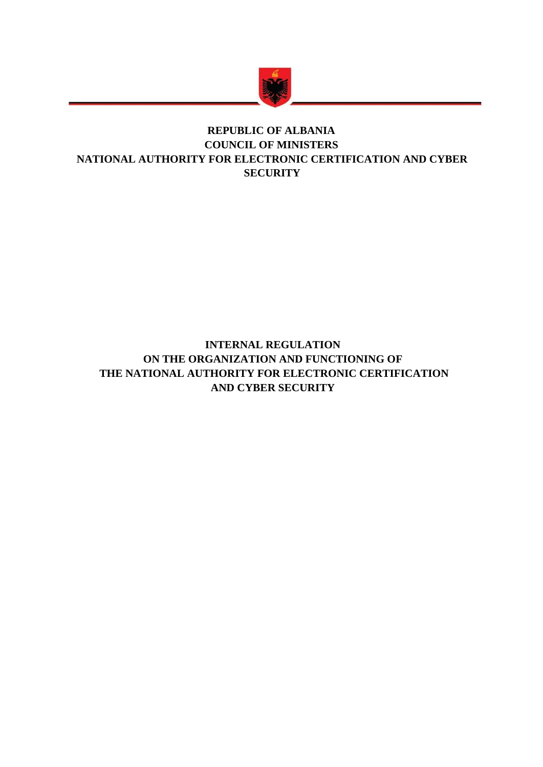

## **REPUBLIC OF ALBANIA COUNCIL OF MINISTERS NATIONAL AUTHORITY FOR ELECTRONIC CERTIFICATION AND CYBER SECURITY**

## **INTERNAL REGULATION ON THE ORGANIZATION AND FUNCTIONING OF THE NATIONAL AUTHORITY FOR ELECTRONIC CERTIFICATION AND CYBER SECURITY**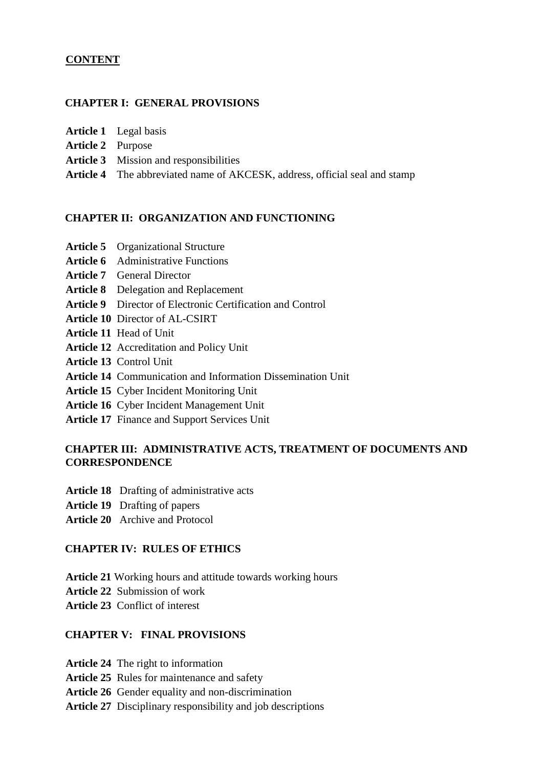#### **CONTENT**

#### **CHAPTER I: GENERAL PROVISIONS**

- **Article 1** Legal basis
- **Article 2** Purpose
- **Article 3** Mission and responsibilities
- **Article 4** The abbreviated name of AKCESK, address, official seal and stamp

#### **CHAPTER II: ORGANIZATION AND FUNCTIONING**

- **Article 5** Organizational Structure
- **Article 6** Administrative Functions
- **Article 7** General Director
- **Article 8** Delegation and Replacement
- **Article 9** Director of Electronic Certification and Control
- **Article 10** Director of AL-CSIRT
- **Article 11** Head of Unit
- **Article 12** Accreditation and Policy Unit
- **Article 13** Control Unit
- **Article 14** Communication and Information Dissemination Unit
- **Article 15** Cyber Incident Monitoring Unit
- **Article 16** Cyber Incident Management Unit
- **Article 17** Finance and Support Services Unit

#### **CHAPTER III: ADMINISTRATIVE ACTS, TREATMENT OF DOCUMENTS AND CORRESPONDENCE**

- **Article 18** Drafting of administrative acts
- **Article 19** Drafting of papers
- **Article 20** Archive and Protocol

#### **CHAPTER IV: RULES OF ETHICS**

- **Article 21** Working hours and attitude towards working hours
- **Article 22** Submission of work
- **Article 23** Conflict of interest

#### **CHAPTER V: FINAL PROVISIONS**

- **Article 24** The right to information
- **Article 25** Rules for maintenance and safety
- **Article 26** Gender equality and non-discrimination
- **Article 27** Disciplinary responsibility and job descriptions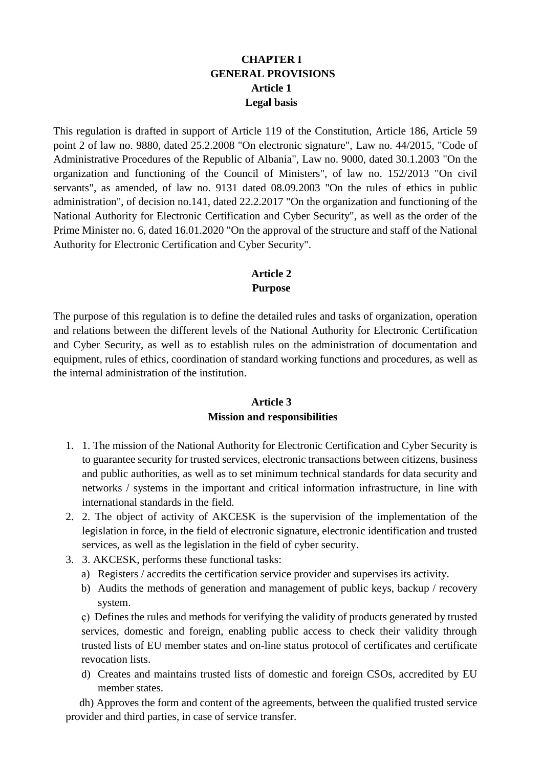#### **CHAPTER I GENERAL PROVISIONS Article 1 Legal basis**

This regulation is drafted in support of Article 119 of the Constitution, Article 186, Article 59 point 2 of law no. 9880, dated 25.2.2008 "On electronic signature", Law no. 44/2015, "Code of Administrative Procedures of the Republic of Albania", Law no. 9000, dated 30.1.2003 "On the organization and functioning of the Council of Ministers", of law no. 152/2013 "On civil servants", as amended, of law no. 9131 dated 08.09.2003 "On the rules of ethics in public administration", of decision no.141, dated 22.2.2017 "On the organization and functioning of the National Authority for Electronic Certification and Cyber Security", as well as the order of the Prime Minister no. 6, dated 16.01.2020 "On the approval of the structure and staff of the National Authority for Electronic Certification and Cyber Security".

## **Article 2 Purpose**

The purpose of this regulation is to define the detailed rules and tasks of organization, operation and relations between the different levels of the National Authority for Electronic Certification and Cyber Security, as well as to establish rules on the administration of documentation and equipment, rules of ethics, coordination of standard working functions and procedures, as well as the internal administration of the institution.

#### **Article 3**

#### **Mission and responsibilities**

- 1. 1. The mission of the National Authority for Electronic Certification and Cyber Security is to guarantee security for trusted services, electronic transactions between citizens, business and public authorities, as well as to set minimum technical standards for data security and networks / systems in the important and critical information infrastructure, in line with international standards in the field.
- 2. 2. The object of activity of AKCESK is the supervision of the implementation of the legislation in force, in the field of electronic signature, electronic identification and trusted services, as well as the legislation in the field of cyber security.
- 3. 3. AKCESK, performs these functional tasks:
	- a) Registers / accredits the certification service provider and supervises its activity.
	- b) Audits the methods of generation and management of public keys, backup / recovery system.

ç) Defines the rules and methods for verifying the validity of products generated by trusted services, domestic and foreign, enabling public access to check their validity through trusted lists of EU member states and on-line status protocol of certificates and certificate revocation lists.

d) Creates and maintains trusted lists of domestic and foreign CSOs, accredited by EU member states.

 dh) Approves the form and content of the agreements, between the qualified trusted service provider and third parties, in case of service transfer.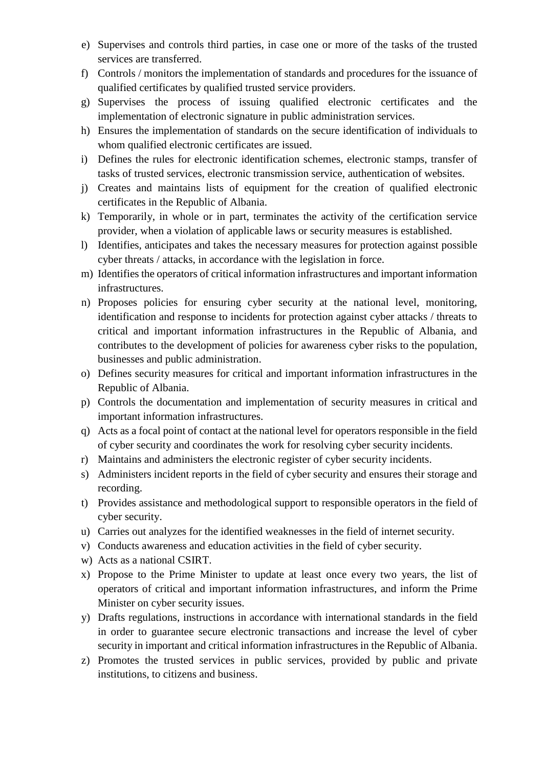- e) Supervises and controls third parties, in case one or more of the tasks of the trusted services are transferred.
- f) Controls / monitors the implementation of standards and procedures for the issuance of qualified certificates by qualified trusted service providers.
- g) Supervises the process of issuing qualified electronic certificates and the implementation of electronic signature in public administration services.
- h) Ensures the implementation of standards on the secure identification of individuals to whom qualified electronic certificates are issued.
- i) Defines the rules for electronic identification schemes, electronic stamps, transfer of tasks of trusted services, electronic transmission service, authentication of websites.
- j) Creates and maintains lists of equipment for the creation of qualified electronic certificates in the Republic of Albania.
- k) Temporarily, in whole or in part, terminates the activity of the certification service provider, when a violation of applicable laws or security measures is established.
- l) Identifies, anticipates and takes the necessary measures for protection against possible cyber threats / attacks, in accordance with the legislation in force.
- m) Identifies the operators of critical information infrastructures and important information infrastructures.
- n) Proposes policies for ensuring cyber security at the national level, monitoring, identification and response to incidents for protection against cyber attacks / threats to critical and important information infrastructures in the Republic of Albania, and contributes to the development of policies for awareness cyber risks to the population, businesses and public administration.
- o) Defines security measures for critical and important information infrastructures in the Republic of Albania.
- p) Controls the documentation and implementation of security measures in critical and important information infrastructures.
- q) Acts as a focal point of contact at the national level for operators responsible in the field of cyber security and coordinates the work for resolving cyber security incidents.
- r) Maintains and administers the electronic register of cyber security incidents.
- s) Administers incident reports in the field of cyber security and ensures their storage and recording.
- t) Provides assistance and methodological support to responsible operators in the field of cyber security.
- u) Carries out analyzes for the identified weaknesses in the field of internet security.
- v) Conducts awareness and education activities in the field of cyber security.
- w) Acts as a national CSIRT.
- x) Propose to the Prime Minister to update at least once every two years, the list of operators of critical and important information infrastructures, and inform the Prime Minister on cyber security issues.
- y) Drafts regulations, instructions in accordance with international standards in the field in order to guarantee secure electronic transactions and increase the level of cyber security in important and critical information infrastructures in the Republic of Albania.
- z) Promotes the trusted services in public services, provided by public and private institutions, to citizens and business.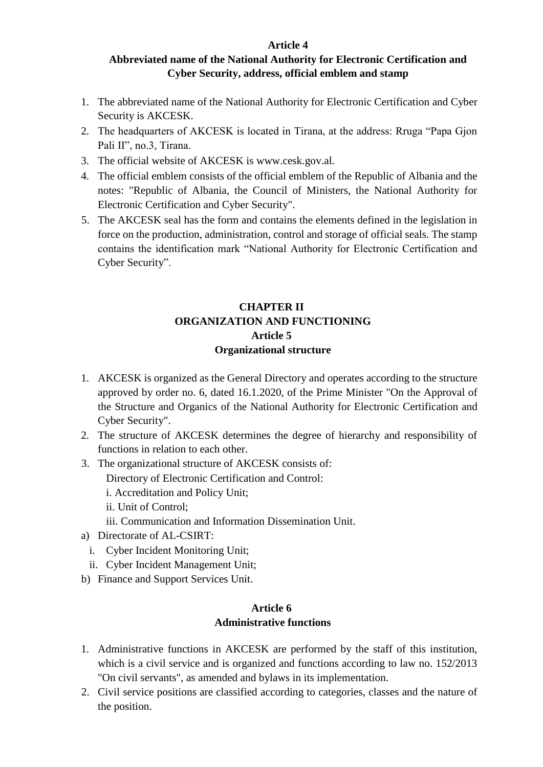#### **Article 4**

#### **Abbreviated name of the National Authority for Electronic Certification and Cyber Security, address, official emblem and stamp**

- 1. The abbreviated name of the National Authority for Electronic Certification and Cyber Security is AKCESK.
- 2. The headquarters of AKCESK is located in Tirana, at the address: Rruga "Papa Gjon Pali II", no.3, Tirana.
- 3. The official website of AKCESK is www.cesk.gov.al.
- 4. The official emblem consists of the official emblem of the Republic of Albania and the notes: "Republic of Albania, the Council of Ministers, the National Authority for Electronic Certification and Cyber Security".
- 5. The AKCESK seal has the form and contains the elements defined in the legislation in force on the production, administration, control and storage of official seals. The stamp contains the identification mark "National Authority for Electronic Certification and Cyber Security".

## **CHAPTER II ORGANIZATION AND FUNCTIONING Article 5 Organizational structure**

- 1. AKCESK is organized as the General Directory and operates according to the structure approved by order no. 6, dated 16.1.2020, of the Prime Minister "On the Approval of the Structure and Organics of the National Authority for Electronic Certification and Cyber Security".
- 2. The structure of AKCESK determines the degree of hierarchy and responsibility of functions in relation to each other.
- 3. The organizational structure of AKCESK consists of:
	- Directory of Electronic Certification and Control:
	- i. Accreditation and Policy Unit;
	- ii. Unit of Control;
	- iii. Communication and Information Dissemination Unit.
- a) Directorate of AL-CSIRT:
	- i. Cyber Incident Monitoring Unit;
	- ii. Cyber Incident Management Unit;
- b) Finance and Support Services Unit.

#### **Article 6 Administrative functions**

- 1. Administrative functions in AKCESK are performed by the staff of this institution, which is a civil service and is organized and functions according to law no. 152/2013 "On civil servants", as amended and bylaws in its implementation.
- 2. Civil service positions are classified according to categories, classes and the nature of the position.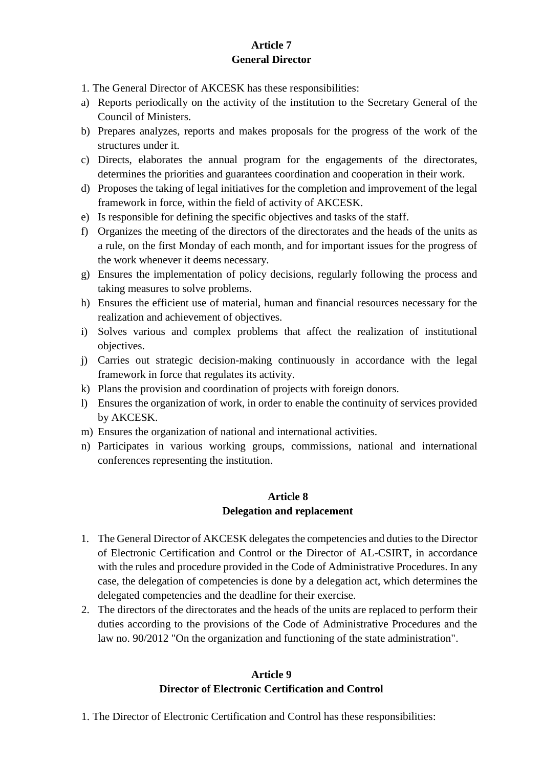## **Article 7 General Director**

1. The General Director of AKCESK has these responsibilities:

- a) Reports periodically on the activity of the institution to the Secretary General of the Council of Ministers.
- b) Prepares analyzes, reports and makes proposals for the progress of the work of the structures under it.
- c) Directs, elaborates the annual program for the engagements of the directorates, determines the priorities and guarantees coordination and cooperation in their work.
- d) Proposes the taking of legal initiatives for the completion and improvement of the legal framework in force, within the field of activity of AKCESK.
- e) Is responsible for defining the specific objectives and tasks of the staff.
- f) Organizes the meeting of the directors of the directorates and the heads of the units as a rule, on the first Monday of each month, and for important issues for the progress of the work whenever it deems necessary.
- g) Ensures the implementation of policy decisions, regularly following the process and taking measures to solve problems.
- h) Ensures the efficient use of material, human and financial resources necessary for the realization and achievement of objectives.
- i) Solves various and complex problems that affect the realization of institutional objectives.
- j) Carries out strategic decision-making continuously in accordance with the legal framework in force that regulates its activity.
- k) Plans the provision and coordination of projects with foreign donors.
- l) Ensures the organization of work, in order to enable the continuity of services provided by AKCESK.
- m) Ensures the organization of national and international activities.
- n) Participates in various working groups, commissions, national and international conferences representing the institution.

## **Article 8 Delegation and replacement**

- 1. The General Director of AKCESK delegates the competencies and duties to the Director of Electronic Certification and Control or the Director of AL-CSIRT, in accordance with the rules and procedure provided in the Code of Administrative Procedures. In any case, the delegation of competencies is done by a delegation act, which determines the delegated competencies and the deadline for their exercise.
- 2. The directors of the directorates and the heads of the units are replaced to perform their duties according to the provisions of the Code of Administrative Procedures and the law no. 90/2012 "On the organization and functioning of the state administration".

## **Article 9 Director of Electronic Certification and Control**

1. The Director of Electronic Certification and Control has these responsibilities: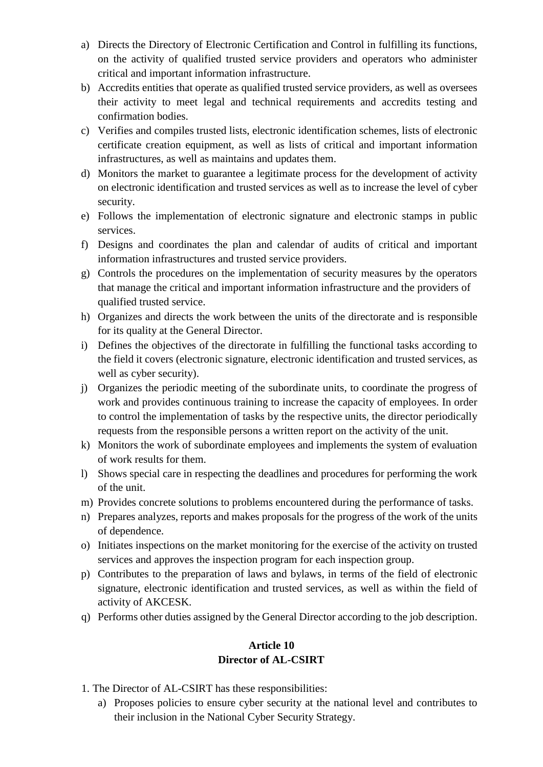- a) Directs the Directory of Electronic Certification and Control in fulfilling its functions, on the activity of qualified trusted service providers and operators who administer critical and important information infrastructure.
- b) Accredits entities that operate as qualified trusted service providers, as well as oversees their activity to meet legal and technical requirements and accredits testing and confirmation bodies.
- c) Verifies and compiles trusted lists, electronic identification schemes, lists of electronic certificate creation equipment, as well as lists of critical and important information infrastructures, as well as maintains and updates them.
- d) Monitors the market to guarantee a legitimate process for the development of activity on electronic identification and trusted services as well as to increase the level of cyber security.
- e) Follows the implementation of electronic signature and electronic stamps in public services.
- f) Designs and coordinates the plan and calendar of audits of critical and important information infrastructures and trusted service providers.
- g) Controls the procedures on the implementation of security measures by the operators that manage the critical and important information infrastructure and the providers of qualified trusted service.
- h) Organizes and directs the work between the units of the directorate and is responsible for its quality at the General Director.
- i) Defines the objectives of the directorate in fulfilling the functional tasks according to the field it covers (electronic signature, electronic identification and trusted services, as well as cyber security).
- j) Organizes the periodic meeting of the subordinate units, to coordinate the progress of work and provides continuous training to increase the capacity of employees. In order to control the implementation of tasks by the respective units, the director periodically requests from the responsible persons a written report on the activity of the unit.
- k) Monitors the work of subordinate employees and implements the system of evaluation of work results for them.
- l) Shows special care in respecting the deadlines and procedures for performing the work of the unit.
- m) Provides concrete solutions to problems encountered during the performance of tasks.
- n) Prepares analyzes, reports and makes proposals for the progress of the work of the units of dependence.
- o) Initiates inspections on the market monitoring for the exercise of the activity on trusted services and approves the inspection program for each inspection group.
- p) Contributes to the preparation of laws and bylaws, in terms of the field of electronic signature, electronic identification and trusted services, as well as within the field of activity of AKCESK.
- q) Performs other duties assigned by the General Director according to the job description.

## **Article 10 Director of AL-CSIRT**

- 1. The Director of AL-CSIRT has these responsibilities:
	- a) Proposes policies to ensure cyber security at the national level and contributes to their inclusion in the National Cyber Security Strategy.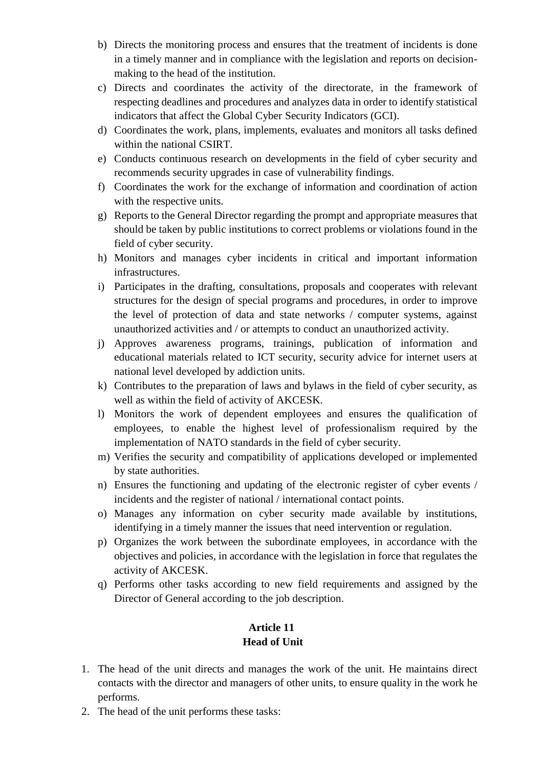- b) Directs the monitoring process and ensures that the treatment of incidents is done in a timely manner and in compliance with the legislation and reports on decisionmaking to the head of the institution.
- c) Directs and coordinates the activity of the directorate, in the framework of respecting deadlines and procedures and analyzes data in order to identify statistical indicators that affect the Global Cyber Security Indicators (GCI).
- d) Coordinates the work, plans, implements, evaluates and monitors all tasks defined within the national CSIRT.
- e) Conducts continuous research on developments in the field of cyber security and recommends security upgrades in case of vulnerability findings.
- f) Coordinates the work for the exchange of information and coordination of action with the respective units.
- g) Reports to the General Director regarding the prompt and appropriate measures that should be taken by public institutions to correct problems or violations found in the field of cyber security.
- h) Monitors and manages cyber incidents in critical and important information infrastructures.
- i) Participates in the drafting, consultations, proposals and cooperates with relevant structures for the design of special programs and procedures, in order to improve the level of protection of data and state networks / computer systems, against unauthorized activities and / or attempts to conduct an unauthorized activity.
- j) Approves awareness programs, trainings, publication of information and educational materials related to ICT security, security advice for internet users at national level developed by addiction units.
- k) Contributes to the preparation of laws and bylaws in the field of cyber security, as well as within the field of activity of AKCESK.
- l) Monitors the work of dependent employees and ensures the qualification of employees, to enable the highest level of professionalism required by the implementation of NATO standards in the field of cyber security.
- m) Verifies the security and compatibility of applications developed or implemented by state authorities.
- n) Ensures the functioning and updating of the electronic register of cyber events / incidents and the register of national / international contact points.
- o) Manages any information on cyber security made available by institutions, identifying in a timely manner the issues that need intervention or regulation.
- p) Organizes the work between the subordinate employees, in accordance with the objectives and policies, in accordance with the legislation in force that regulates the activity of AKCESK.
- q) Performs other tasks according to new field requirements and assigned by the Director of General according to the job description.

## **Article 11 Head of Unit**

- 1. The head of the unit directs and manages the work of the unit. He maintains direct contacts with the director and managers of other units, to ensure quality in the work he performs.
- 2. The head of the unit performs these tasks: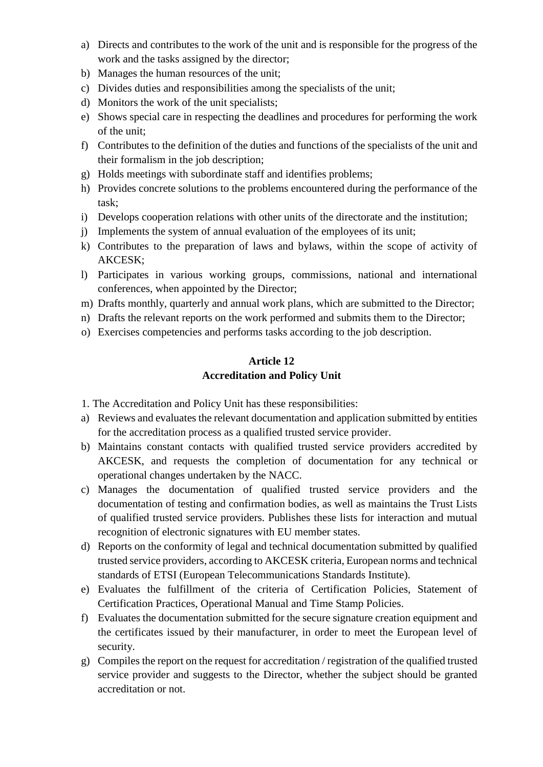- a) Directs and contributes to the work of the unit and is responsible for the progress of the work and the tasks assigned by the director;
- b) Manages the human resources of the unit;
- c) Divides duties and responsibilities among the specialists of the unit;
- d) Monitors the work of the unit specialists;
- e) Shows special care in respecting the deadlines and procedures for performing the work of the unit;
- f) Contributes to the definition of the duties and functions of the specialists of the unit and their formalism in the job description;
- g) Holds meetings with subordinate staff and identifies problems;
- h) Provides concrete solutions to the problems encountered during the performance of the task;
- i) Develops cooperation relations with other units of the directorate and the institution;
- j) Implements the system of annual evaluation of the employees of its unit;
- k) Contributes to the preparation of laws and bylaws, within the scope of activity of AKCESK;
- l) Participates in various working groups, commissions, national and international conferences, when appointed by the Director;
- m) Drafts monthly, quarterly and annual work plans, which are submitted to the Director;
- n) Drafts the relevant reports on the work performed and submits them to the Director;
- o) Exercises competencies and performs tasks according to the job description.

#### **Article 12 Accreditation and Policy Unit**

1. The Accreditation and Policy Unit has these responsibilities:

- a) Reviews and evaluates the relevant documentation and application submitted by entities for the accreditation process as a qualified trusted service provider.
- b) Maintains constant contacts with qualified trusted service providers accredited by AKCESK, and requests the completion of documentation for any technical or operational changes undertaken by the NACC.
- c) Manages the documentation of qualified trusted service providers and the documentation of testing and confirmation bodies, as well as maintains the Trust Lists of qualified trusted service providers. Publishes these lists for interaction and mutual recognition of electronic signatures with EU member states.
- d) Reports on the conformity of legal and technical documentation submitted by qualified trusted service providers, according to AKCESK criteria, European norms and technical standards of ETSI (European Telecommunications Standards Institute).
- e) Evaluates the fulfillment of the criteria of Certification Policies, Statement of Certification Practices, Operational Manual and Time Stamp Policies.
- f) Evaluates the documentation submitted for the secure signature creation equipment and the certificates issued by their manufacturer, in order to meet the European level of security.
- g) Compiles the report on the request for accreditation / registration of the qualified trusted service provider and suggests to the Director, whether the subject should be granted accreditation or not.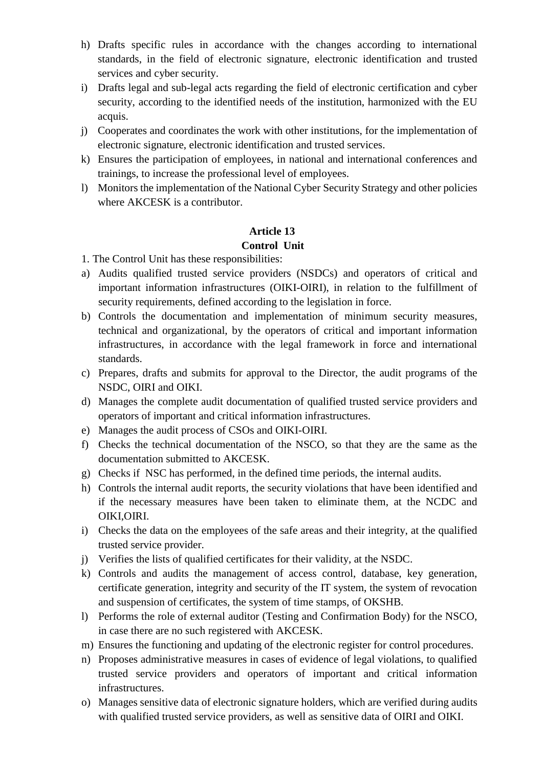- h) Drafts specific rules in accordance with the changes according to international standards, in the field of electronic signature, electronic identification and trusted services and cyber security.
- i) Drafts legal and sub-legal acts regarding the field of electronic certification and cyber security, according to the identified needs of the institution, harmonized with the EU acquis.
- j) Cooperates and coordinates the work with other institutions, for the implementation of electronic signature, electronic identification and trusted services.
- k) Ensures the participation of employees, in national and international conferences and trainings, to increase the professional level of employees.
- l) Monitors the implementation of the National Cyber Security Strategy and other policies where AKCESK is a contributor.

## **Article 13 Control Unit**

1. The Control Unit has these responsibilities:

- a) Audits qualified trusted service providers (NSDCs) and operators of critical and important information infrastructures (OIKI-OIRI), in relation to the fulfillment of security requirements, defined according to the legislation in force.
- b) Controls the documentation and implementation of minimum security measures, technical and organizational, by the operators of critical and important information infrastructures, in accordance with the legal framework in force and international standards.
- c) Prepares, drafts and submits for approval to the Director, the audit programs of the NSDC, OIRI and OIKI.
- d) Manages the complete audit documentation of qualified trusted service providers and operators of important and critical information infrastructures.
- e) Manages the audit process of CSOs and OIKI-OIRI.
- f) Checks the technical documentation of the NSCO, so that they are the same as the documentation submitted to AKCESK.
- g) Checks if NSC has performed, in the defined time periods, the internal audits.
- h) Controls the internal audit reports, the security violations that have been identified and if the necessary measures have been taken to eliminate them, at the NCDC and OIKI,OIRI.
- i) Checks the data on the employees of the safe areas and their integrity, at the qualified trusted service provider.
- j) Verifies the lists of qualified certificates for their validity, at the NSDC.
- k) Controls and audits the management of access control, database, key generation, certificate generation, integrity and security of the IT system, the system of revocation and suspension of certificates, the system of time stamps, of OKSHB.
- l) Performs the role of external auditor (Testing and Confirmation Body) for the NSCO, in case there are no such registered with AKCESK.
- m) Ensures the functioning and updating of the electronic register for control procedures.
- n) Proposes administrative measures in cases of evidence of legal violations, to qualified trusted service providers and operators of important and critical information infrastructures.
- o) Manages sensitive data of electronic signature holders, which are verified during audits with qualified trusted service providers, as well as sensitive data of OIRI and OIKI.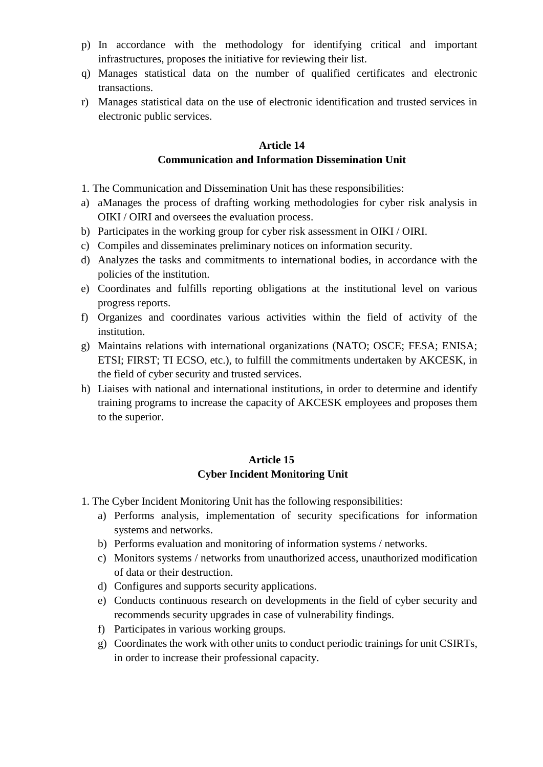- p) In accordance with the methodology for identifying critical and important infrastructures, proposes the initiative for reviewing their list.
- q) Manages statistical data on the number of qualified certificates and electronic transactions.
- r) Manages statistical data on the use of electronic identification and trusted services in electronic public services.

#### **Article 14 Communication and Information Dissemination Unit**

- 1. The Communication and Dissemination Unit has these responsibilities:
- a) aManages the process of drafting working methodologies for cyber risk analysis in OIKI / OIRI and oversees the evaluation process.
- b) Participates in the working group for cyber risk assessment in OIKI / OIRI.
- c) Compiles and disseminates preliminary notices on information security.
- d) Analyzes the tasks and commitments to international bodies, in accordance with the policies of the institution.
- e) Coordinates and fulfills reporting obligations at the institutional level on various progress reports.
- f) Organizes and coordinates various activities within the field of activity of the institution.
- g) Maintains relations with international organizations (NATO; OSCE; FESA; ENISA; ETSI; FIRST; TI ECSO, etc.), to fulfill the commitments undertaken by AKCESK, in the field of cyber security and trusted services.
- h) Liaises with national and international institutions, in order to determine and identify training programs to increase the capacity of AKCESK employees and proposes them to the superior.

## **Article 15 Cyber Incident Monitoring Unit**

- 1. The Cyber Incident Monitoring Unit has the following responsibilities:
	- a) Performs analysis, implementation of security specifications for information systems and networks.
	- b) Performs evaluation and monitoring of information systems / networks.
	- c) Monitors systems / networks from unauthorized access, unauthorized modification of data or their destruction.
	- d) Configures and supports security applications.
	- e) Conducts continuous research on developments in the field of cyber security and recommends security upgrades in case of vulnerability findings.
	- f) Participates in various working groups.
	- g) Coordinates the work with other units to conduct periodic trainings for unit CSIRTs, in order to increase their professional capacity.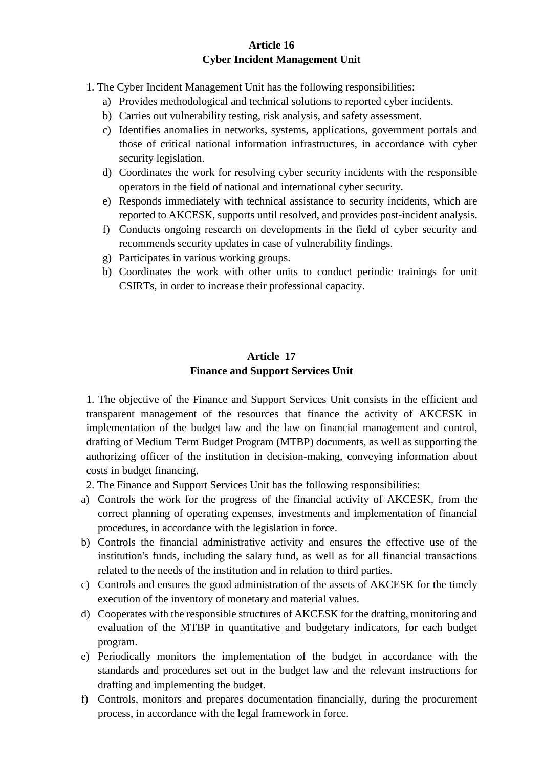#### **Article 16 Cyber Incident Management Unit**

- 1. The Cyber Incident Management Unit has the following responsibilities:
	- a) Provides methodological and technical solutions to reported cyber incidents.
	- b) Carries out vulnerability testing, risk analysis, and safety assessment.
	- c) Identifies anomalies in networks, systems, applications, government portals and those of critical national information infrastructures, in accordance with cyber security legislation.
	- d) Coordinates the work for resolving cyber security incidents with the responsible operators in the field of national and international cyber security.
	- e) Responds immediately with technical assistance to security incidents, which are reported to AKCESK, supports until resolved, and provides post-incident analysis.
	- f) Conducts ongoing research on developments in the field of cyber security and recommends security updates in case of vulnerability findings.
	- g) Participates in various working groups.
	- h) Coordinates the work with other units to conduct periodic trainings for unit CSIRTs, in order to increase their professional capacity.

#### **Article 17 Finance and Support Services Unit**

1. The objective of the Finance and Support Services Unit consists in the efficient and transparent management of the resources that finance the activity of AKCESK in implementation of the budget law and the law on financial management and control, drafting of Medium Term Budget Program (MTBP) documents, as well as supporting the authorizing officer of the institution in decision-making, conveying information about costs in budget financing.

2. The Finance and Support Services Unit has the following responsibilities:

- a) Controls the work for the progress of the financial activity of AKCESK, from the correct planning of operating expenses, investments and implementation of financial procedures, in accordance with the legislation in force.
- b) Controls the financial administrative activity and ensures the effective use of the institution's funds, including the salary fund, as well as for all financial transactions related to the needs of the institution and in relation to third parties.
- c) Controls and ensures the good administration of the assets of AKCESK for the timely execution of the inventory of monetary and material values.
- d) Cooperates with the responsible structures of AKCESK for the drafting, monitoring and evaluation of the MTBP in quantitative and budgetary indicators, for each budget program.
- e) Periodically monitors the implementation of the budget in accordance with the standards and procedures set out in the budget law and the relevant instructions for drafting and implementing the budget.
- f) Controls, monitors and prepares documentation financially, during the procurement process, in accordance with the legal framework in force.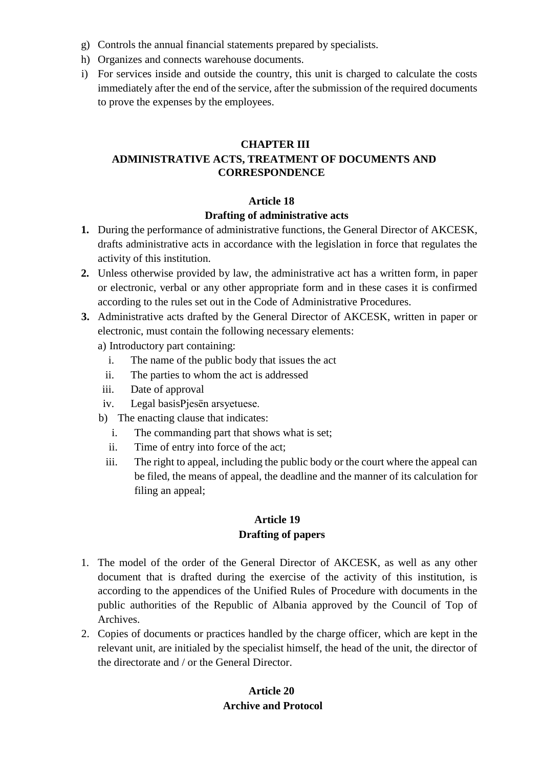- g) Controls the annual financial statements prepared by specialists.
- h) Organizes and connects warehouse documents.
- i) For services inside and outside the country, this unit is charged to calculate the costs immediately after the end of the service, after the submission of the required documents to prove the expenses by the employees.

#### **CHAPTER III ADMINISTRATIVE ACTS, TREATMENT OF DOCUMENTS AND CORRESPONDENCE**

#### **Article 18**

#### **Drafting of administrative acts**

- **1.** During the performance of administrative functions, the General Director of AKCESK, drafts administrative acts in accordance with the legislation in force that regulates the activity of this institution.
- **2.** Unless otherwise provided by law, the administrative act has a written form, in paper or electronic, verbal or any other appropriate form and in these cases it is confirmed according to the rules set out in the Code of Administrative Procedures.
- **3.** Administrative acts drafted by the General Director of AKCESK, written in paper or electronic, must contain the following necessary elements:
	- a) Introductory part containing:
		- i. The name of the public body that issues the act
		- ii. The parties to whom the act is addressed
	- iii. Date of approval
	- iv. Legal basisPjesën arsyetuese.
	- b) The enacting clause that indicates:
		- i. The commanding part that shows what is set;
		- ii. Time of entry into force of the act;
		- iii. The right to appeal, including the public body or the court where the appeal can be filed, the means of appeal, the deadline and the manner of its calculation for filing an appeal;

#### **Article 19 Drafting of papers**

- 1. The model of the order of the General Director of AKCESK, as well as any other document that is drafted during the exercise of the activity of this institution, is according to the appendices of the Unified Rules of Procedure with documents in the public authorities of the Republic of Albania approved by the Council of Top of Archives.
- 2. Copies of documents or practices handled by the charge officer, which are kept in the relevant unit, are initialed by the specialist himself, the head of the unit, the director of the directorate and / or the General Director.

## **Article 20 Archive and Protocol**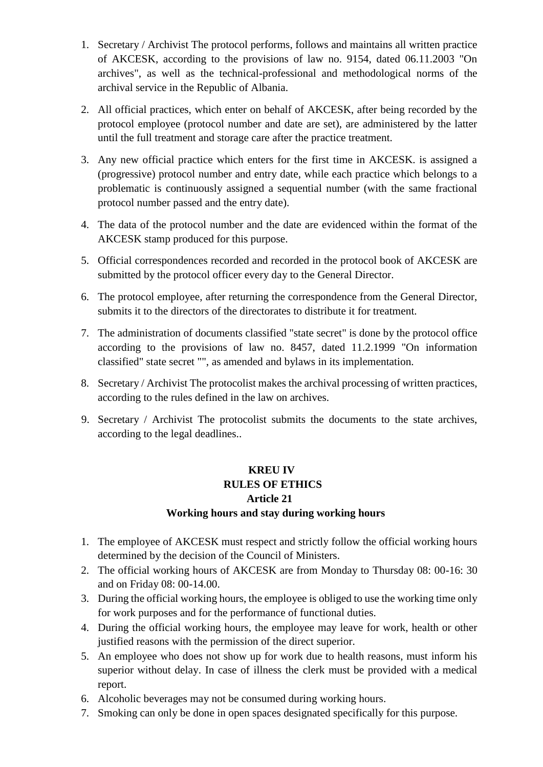- 1. Secretary / Archivist The protocol performs, follows and maintains all written practice of AKCESK, according to the provisions of law no. 9154, dated 06.11.2003 "On archives", as well as the technical-professional and methodological norms of the archival service in the Republic of Albania.
- 2. All official practices, which enter on behalf of AKCESK, after being recorded by the protocol employee (protocol number and date are set), are administered by the latter until the full treatment and storage care after the practice treatment.
- 3. Any new official practice which enters for the first time in AKCESK. is assigned a (progressive) protocol number and entry date, while each practice which belongs to a problematic is continuously assigned a sequential number (with the same fractional protocol number passed and the entry date).
- 4. The data of the protocol number and the date are evidenced within the format of the AKCESK stamp produced for this purpose.
- 5. Official correspondences recorded and recorded in the protocol book of AKCESK are submitted by the protocol officer every day to the General Director.
- 6. The protocol employee, after returning the correspondence from the General Director, submits it to the directors of the directorates to distribute it for treatment.
- 7. The administration of documents classified "state secret" is done by the protocol office according to the provisions of law no. 8457, dated 11.2.1999 "On information classified" state secret "", as amended and bylaws in its implementation.
- 8. Secretary / Archivist The protocolist makes the archival processing of written practices, according to the rules defined in the law on archives.
- 9. Secretary / Archivist The protocolist submits the documents to the state archives, according to the legal deadlines..

## **KREU IV RULES OF ETHICS Article 21 Working hours and stay during working hours**

- 1. The employee of AKCESK must respect and strictly follow the official working hours determined by the decision of the Council of Ministers.
- 2. The official working hours of AKCESK are from Monday to Thursday 08: 00-16: 30 and on Friday 08: 00-14.00.
- 3. During the official working hours, the employee is obliged to use the working time only for work purposes and for the performance of functional duties.
- 4. During the official working hours, the employee may leave for work, health or other justified reasons with the permission of the direct superior.
- 5. An employee who does not show up for work due to health reasons, must inform his superior without delay. In case of illness the clerk must be provided with a medical report.
- 6. Alcoholic beverages may not be consumed during working hours.
- 7. Smoking can only be done in open spaces designated specifically for this purpose.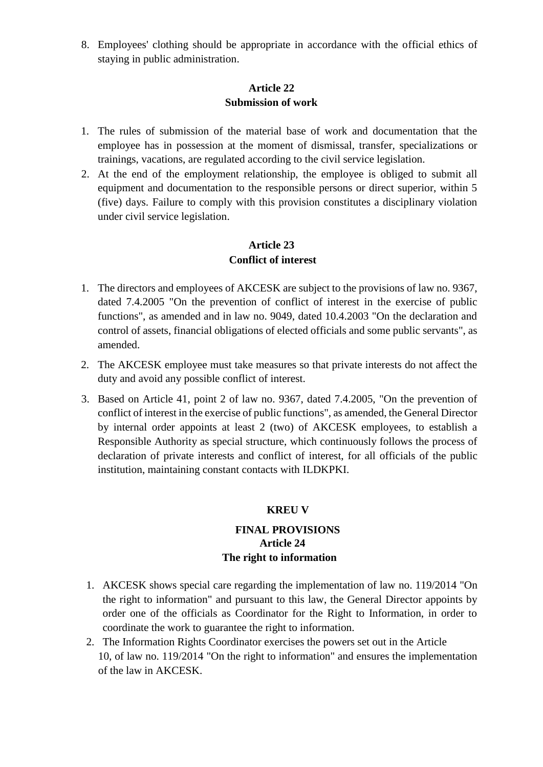8. Employees' clothing should be appropriate in accordance with the official ethics of staying in public administration.

#### **Article 22 Submission of work**

- 1. The rules of submission of the material base of work and documentation that the employee has in possession at the moment of dismissal, transfer, specializations or trainings, vacations, are regulated according to the civil service legislation.
- 2. At the end of the employment relationship, the employee is obliged to submit all equipment and documentation to the responsible persons or direct superior, within 5 (five) days. Failure to comply with this provision constitutes a disciplinary violation under civil service legislation.

## **Article 23 Conflict of interest**

- 1. The directors and employees of AKCESK are subject to the provisions of law no. 9367, dated 7.4.2005 "On the prevention of conflict of interest in the exercise of public functions", as amended and in law no. 9049, dated 10.4.2003 "On the declaration and control of assets, financial obligations of elected officials and some public servants", as amended.
- 2. The AKCESK employee must take measures so that private interests do not affect the duty and avoid any possible conflict of interest.
- 3. Based on Article 41, point 2 of law no. 9367, dated 7.4.2005, "On the prevention of conflict of interest in the exercise of public functions", as amended, the General Director by internal order appoints at least 2 (two) of AKCESK employees, to establish a Responsible Authority as special structure, which continuously follows the process of declaration of private interests and conflict of interest, for all officials of the public institution, maintaining constant contacts with ILDKPKI.

#### **KREU V**

## **FINAL PROVISIONS Article 24 The right to information**

- 1. AKCESK shows special care regarding the implementation of law no. 119/2014 "On the right to information" and pursuant to this law, the General Director appoints by order one of the officials as Coordinator for the Right to Information, in order to coordinate the work to guarantee the right to information.
- 2. The Information Rights Coordinator exercises the powers set out in the Article 10, of law no. 119/2014 "On the right to information" and ensures the implementation of the law in AKCESK.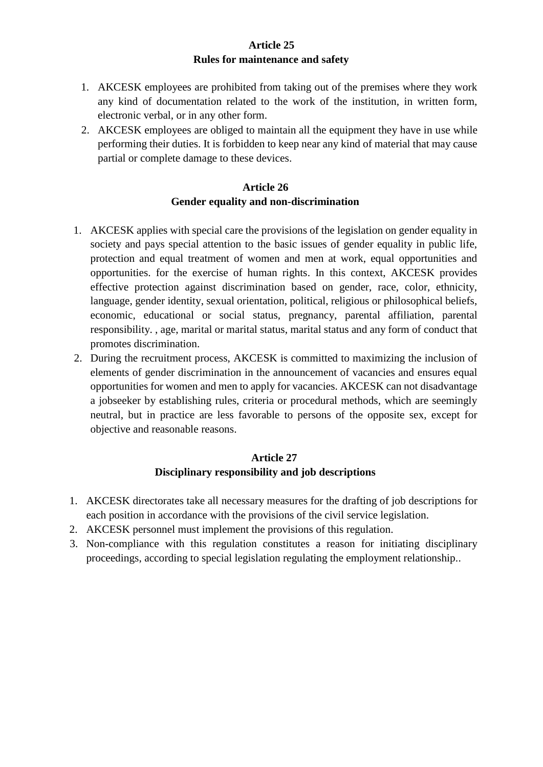#### **Article 25 Rules for maintenance and safety**

- 1. AKCESK employees are prohibited from taking out of the premises where they work any kind of documentation related to the work of the institution, in written form, electronic verbal, or in any other form.
- 2. AKCESK employees are obliged to maintain all the equipment they have in use while performing their duties. It is forbidden to keep near any kind of material that may cause partial or complete damage to these devices.

### **Article 26 Gender equality and non-discrimination**

- 1. AKCESK applies with special care the provisions of the legislation on gender equality in society and pays special attention to the basic issues of gender equality in public life, protection and equal treatment of women and men at work, equal opportunities and opportunities. for the exercise of human rights. In this context, AKCESK provides effective protection against discrimination based on gender, race, color, ethnicity, language, gender identity, sexual orientation, political, religious or philosophical beliefs, economic, educational or social status, pregnancy, parental affiliation, parental responsibility. , age, marital or marital status, marital status and any form of conduct that promotes discrimination.
- 2. During the recruitment process, AKCESK is committed to maximizing the inclusion of elements of gender discrimination in the announcement of vacancies and ensures equal opportunities for women and men to apply for vacancies. AKCESK can not disadvantage a jobseeker by establishing rules, criteria or procedural methods, which are seemingly neutral, but in practice are less favorable to persons of the opposite sex, except for objective and reasonable reasons.

## **Article 27 Disciplinary responsibility and job descriptions**

- 1. AKCESK directorates take all necessary measures for the drafting of job descriptions for each position in accordance with the provisions of the civil service legislation.
- 2. AKCESK personnel must implement the provisions of this regulation.
- 3. Non-compliance with this regulation constitutes a reason for initiating disciplinary proceedings, according to special legislation regulating the employment relationship..